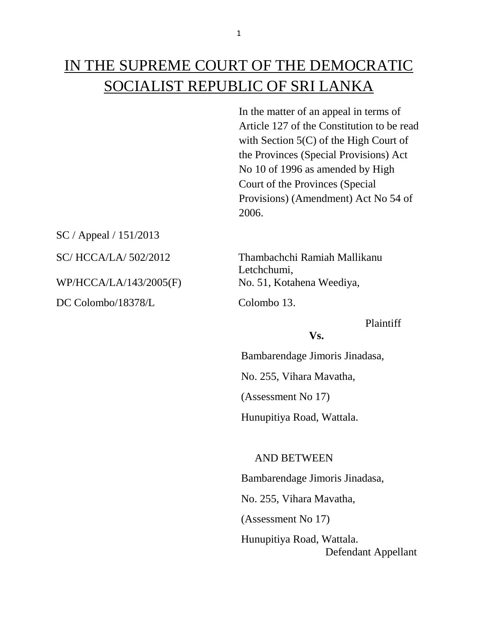# IN THE SUPREME COURT OF THE DEMOCRATIC SOCIALIST REPUBLIC OF SRI LANKA

In the matter of an appeal in terms of Article 127 of the Constitution to be read with Section 5(C) of the High Court of the Provinces (Special Provisions) Act No 10 of 1996 as amended by High Court of the Provinces (Special Provisions) (Amendment) Act No 54 of 2006.

SC / Appeal / 151/2013

DC Colombo/18378/L Colombo 13.

SC/ HCCA/LA/ 502/2012 Thambachchi Ramiah Mallikanu Letchchumi, WP/HCCA/LA/143/2005(F) No. 51, Kotahena Weediya,

## Plaintiff

## **Vs.**

Bambarendage Jimoris Jinadasa,

No. 255, Vihara Mavatha,

(Assessment No 17)

Hunupitiya Road, Wattala.

## AND BETWEEN

Bambarendage Jimoris Jinadasa,

No. 255, Vihara Mavatha,

(Assessment No 17)

 Hunupitiya Road, Wattala. Defendant Appellant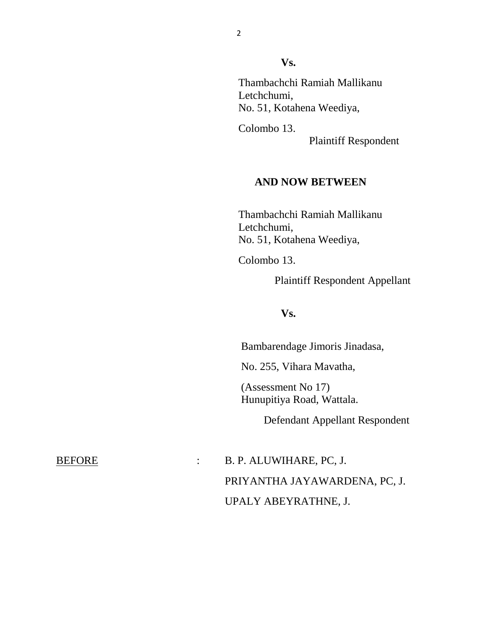## **Vs.**

 Thambachchi Ramiah Mallikanu Letchchumi, No. 51, Kotahena Weediya,

Colombo 13.

Plaintiff Respondent

## **AND NOW BETWEEN**

 Thambachchi Ramiah Mallikanu Letchchumi, No. 51, Kotahena Weediya,

Colombo 13.

Plaintiff Respondent Appellant

#### **Vs.**

Bambarendage Jimoris Jinadasa,

No. 255, Vihara Mavatha,

 (Assessment No 17) Hunupitiya Road, Wattala.

Defendant Appellant Respondent

BEFORE : B. P. ALUWIHARE, PC, J. PRIYANTHA JAYAWARDENA, PC, J. UPALY ABEYRATHNE, J.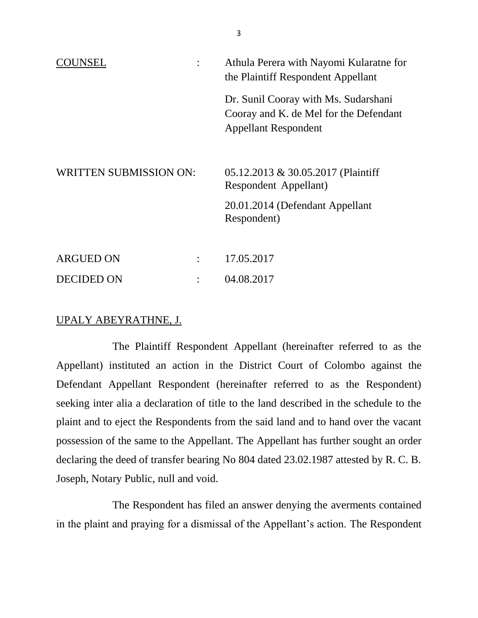|                               |  | Athula Perera with Nayomi Kularatne for<br>the Plaintiff Respondent Appellant                                 |
|-------------------------------|--|---------------------------------------------------------------------------------------------------------------|
|                               |  | Dr. Sunil Cooray with Ms. Sudarshani<br>Cooray and K. de Mel for the Defendant<br><b>Appellant Respondent</b> |
| <b>WRITTEN SUBMISSION ON:</b> |  | 05.12.2013 & 30.05.2017 (Plaintiff<br>Respondent Appellant)                                                   |
|                               |  | 20.01.2014 (Defendant Appellant<br>Respondent)                                                                |
| <b>ARGUED ON</b>              |  | 17.05.2017                                                                                                    |
| <b>DECIDED ON</b>             |  | 04.08.2017                                                                                                    |

## UPALY ABEYRATHNE, J.

The Plaintiff Respondent Appellant (hereinafter referred to as the Appellant) instituted an action in the District Court of Colombo against the Defendant Appellant Respondent (hereinafter referred to as the Respondent) seeking inter alia a declaration of title to the land described in the schedule to the plaint and to eject the Respondents from the said land and to hand over the vacant possession of the same to the Appellant. The Appellant has further sought an order declaring the deed of transfer bearing No 804 dated 23.02.1987 attested by R. C. B. Joseph, Notary Public, null and void.

The Respondent has filed an answer denying the averments contained in the plaint and praying for a dismissal of the Appellant's action. The Respondent

3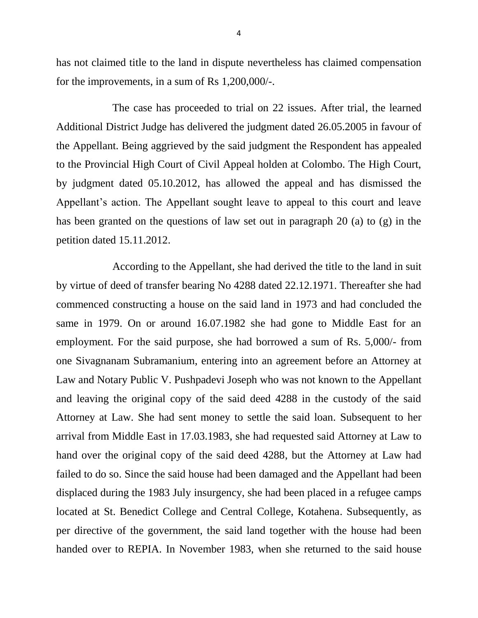has not claimed title to the land in dispute nevertheless has claimed compensation for the improvements, in a sum of Rs 1,200,000/-.

The case has proceeded to trial on 22 issues. After trial, the learned Additional District Judge has delivered the judgment dated 26.05.2005 in favour of the Appellant. Being aggrieved by the said judgment the Respondent has appealed to the Provincial High Court of Civil Appeal holden at Colombo. The High Court, by judgment dated 05.10.2012, has allowed the appeal and has dismissed the Appellant's action. The Appellant sought leave to appeal to this court and leave has been granted on the questions of law set out in paragraph 20 (a) to (g) in the petition dated 15.11.2012.

According to the Appellant, she had derived the title to the land in suit by virtue of deed of transfer bearing No 4288 dated 22.12.1971. Thereafter she had commenced constructing a house on the said land in 1973 and had concluded the same in 1979. On or around 16.07.1982 she had gone to Middle East for an employment. For the said purpose, she had borrowed a sum of Rs. 5,000/- from one Sivagnanam Subramanium, entering into an agreement before an Attorney at Law and Notary Public V. Pushpadevi Joseph who was not known to the Appellant and leaving the original copy of the said deed 4288 in the custody of the said Attorney at Law. She had sent money to settle the said loan. Subsequent to her arrival from Middle East in 17.03.1983, she had requested said Attorney at Law to hand over the original copy of the said deed 4288, but the Attorney at Law had failed to do so. Since the said house had been damaged and the Appellant had been displaced during the 1983 July insurgency, she had been placed in a refugee camps located at St. Benedict College and Central College, Kotahena. Subsequently, as per directive of the government, the said land together with the house had been handed over to REPIA. In November 1983, when she returned to the said house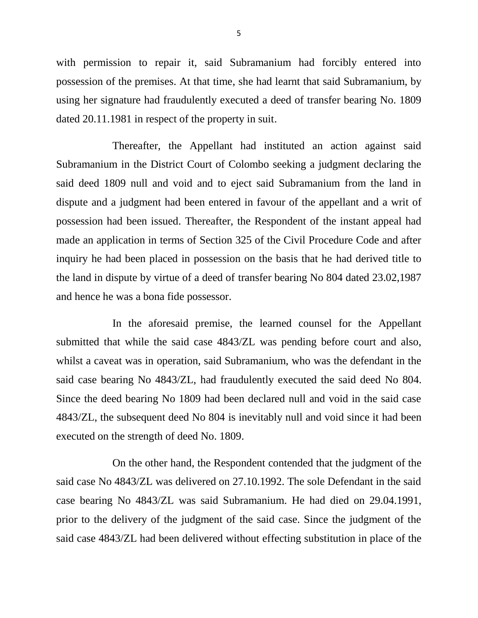with permission to repair it, said Subramanium had forcibly entered into possession of the premises. At that time, she had learnt that said Subramanium, by using her signature had fraudulently executed a deed of transfer bearing No. 1809 dated 20.11.1981 in respect of the property in suit.

Thereafter, the Appellant had instituted an action against said Subramanium in the District Court of Colombo seeking a judgment declaring the said deed 1809 null and void and to eject said Subramanium from the land in dispute and a judgment had been entered in favour of the appellant and a writ of possession had been issued. Thereafter, the Respondent of the instant appeal had made an application in terms of Section 325 of the Civil Procedure Code and after inquiry he had been placed in possession on the basis that he had derived title to the land in dispute by virtue of a deed of transfer bearing No 804 dated 23.02,1987 and hence he was a bona fide possessor.

In the aforesaid premise, the learned counsel for the Appellant submitted that while the said case 4843/ZL was pending before court and also, whilst a caveat was in operation, said Subramanium, who was the defendant in the said case bearing No 4843/ZL, had fraudulently executed the said deed No 804. Since the deed bearing No 1809 had been declared null and void in the said case 4843/ZL, the subsequent deed No 804 is inevitably null and void since it had been executed on the strength of deed No. 1809.

On the other hand, the Respondent contended that the judgment of the said case No 4843/ZL was delivered on 27.10.1992. The sole Defendant in the said case bearing No 4843/ZL was said Subramanium. He had died on 29.04.1991, prior to the delivery of the judgment of the said case. Since the judgment of the said case 4843/ZL had been delivered without effecting substitution in place of the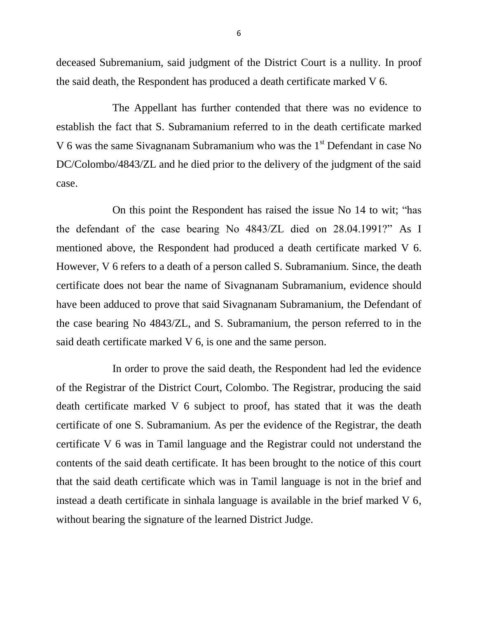deceased Subremanium, said judgment of the District Court is a nullity. In proof the said death, the Respondent has produced a death certificate marked V 6.

The Appellant has further contended that there was no evidence to establish the fact that S. Subramanium referred to in the death certificate marked V 6 was the same Sivagnanam Subramanium who was the  $1<sup>st</sup>$  Defendant in case No DC/Colombo/4843/ZL and he died prior to the delivery of the judgment of the said case.

On this point the Respondent has raised the issue No 14 to wit; "has the defendant of the case bearing No 4843/ZL died on 28.04.1991?" As I mentioned above, the Respondent had produced a death certificate marked V 6. However, V 6 refers to a death of a person called S. Subramanium. Since, the death certificate does not bear the name of Sivagnanam Subramanium, evidence should have been adduced to prove that said Sivagnanam Subramanium, the Defendant of the case bearing No 4843/ZL, and S. Subramanium, the person referred to in the said death certificate marked V 6, is one and the same person.

In order to prove the said death, the Respondent had led the evidence of the Registrar of the District Court, Colombo. The Registrar, producing the said death certificate marked V 6 subject to proof, has stated that it was the death certificate of one S. Subramanium. As per the evidence of the Registrar, the death certificate V 6 was in Tamil language and the Registrar could not understand the contents of the said death certificate. It has been brought to the notice of this court that the said death certificate which was in Tamil language is not in the brief and instead a death certificate in sinhala language is available in the brief marked V 6, without bearing the signature of the learned District Judge.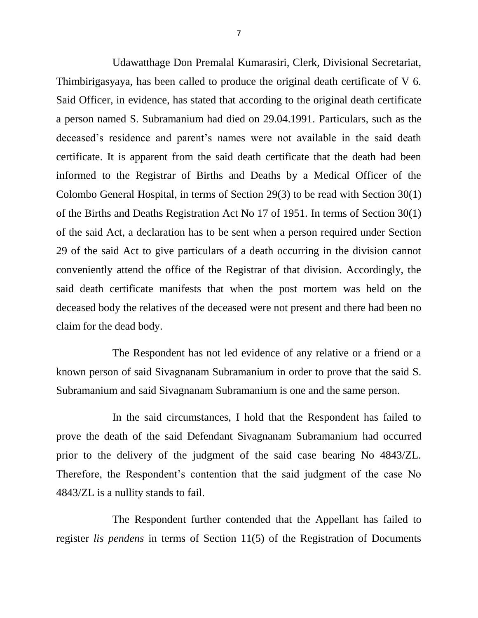Udawatthage Don Premalal Kumarasiri, Clerk, Divisional Secretariat, Thimbirigasyaya, has been called to produce the original death certificate of V 6. Said Officer, in evidence, has stated that according to the original death certificate a person named S. Subramanium had died on 29.04.1991. Particulars, such as the deceased's residence and parent's names were not available in the said death certificate. It is apparent from the said death certificate that the death had been informed to the Registrar of Births and Deaths by a Medical Officer of the Colombo General Hospital, in terms of Section 29(3) to be read with Section 30(1) of the Births and Deaths Registration Act No 17 of 1951. In terms of Section 30(1) of the said Act, a declaration has to be sent when a person required under Section 29 of the said Act to give particulars of a death occurring in the division cannot conveniently attend the office of the Registrar of that division. Accordingly, the said death certificate manifests that when the post mortem was held on the deceased body the relatives of the deceased were not present and there had been no claim for the dead body.

The Respondent has not led evidence of any relative or a friend or a known person of said Sivagnanam Subramanium in order to prove that the said S. Subramanium and said Sivagnanam Subramanium is one and the same person.

In the said circumstances, I hold that the Respondent has failed to prove the death of the said Defendant Sivagnanam Subramanium had occurred prior to the delivery of the judgment of the said case bearing No 4843/ZL. Therefore, the Respondent's contention that the said judgment of the case No 4843/ZL is a nullity stands to fail.

The Respondent further contended that the Appellant has failed to register *lis pendens* in terms of Section 11(5) of the Registration of Documents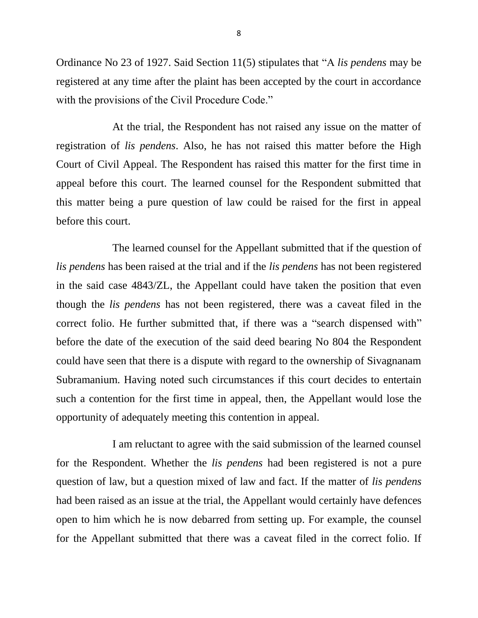Ordinance No 23 of 1927. Said Section 11(5) stipulates that "A *lis pendens* may be registered at any time after the plaint has been accepted by the court in accordance with the provisions of the Civil Procedure Code."

At the trial, the Respondent has not raised any issue on the matter of registration of *lis pendens*. Also, he has not raised this matter before the High Court of Civil Appeal. The Respondent has raised this matter for the first time in appeal before this court. The learned counsel for the Respondent submitted that this matter being a pure question of law could be raised for the first in appeal before this court.

The learned counsel for the Appellant submitted that if the question of *lis pendens* has been raised at the trial and if the *lis pendens* has not been registered in the said case 4843/ZL, the Appellant could have taken the position that even though the *lis pendens* has not been registered, there was a caveat filed in the correct folio. He further submitted that, if there was a "search dispensed with" before the date of the execution of the said deed bearing No 804 the Respondent could have seen that there is a dispute with regard to the ownership of Sivagnanam Subramanium. Having noted such circumstances if this court decides to entertain such a contention for the first time in appeal, then, the Appellant would lose the opportunity of adequately meeting this contention in appeal.

I am reluctant to agree with the said submission of the learned counsel for the Respondent. Whether the *lis pendens* had been registered is not a pure question of law, but a question mixed of law and fact. If the matter of *lis pendens* had been raised as an issue at the trial, the Appellant would certainly have defences open to him which he is now debarred from setting up. For example, the counsel for the Appellant submitted that there was a caveat filed in the correct folio. If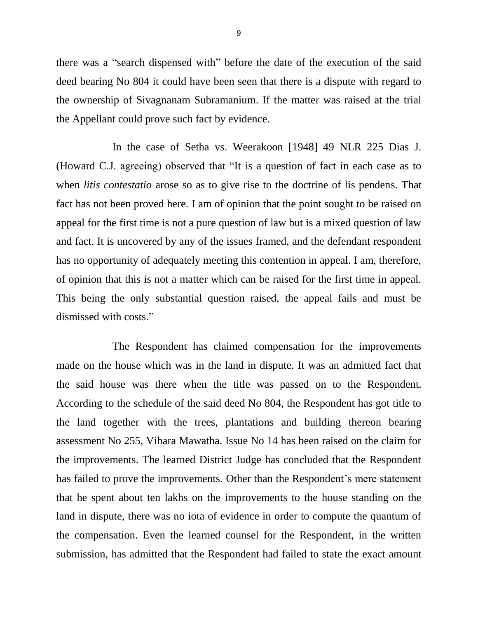there was a "search dispensed with" before the date of the execution of the said deed bearing No 804 it could have been seen that there is a dispute with regard to the ownership of Sivagnanam Subramanium. If the matter was raised at the trial the Appellant could prove such fact by evidence.

In the case of Setha vs. Weerakoon [1948] 49 NLR 225 Dias J. (Howard C.J. agreeing) observed that "It is a question of fact in each case as to when *litis contestatio* arose so as to give rise to the doctrine of lis pendens. That fact has not been proved here. I am of opinion that the point sought to be raised on appeal for the first time is not a pure question of law but is a mixed question of law and fact. It is uncovered by any of the issues framed, and the defendant respondent has no opportunity of adequately meeting this contention in appeal. I am, therefore, of opinion that this is not a matter which can be raised for the first time in appeal. This being the only substantial question raised, the appeal fails and must be dismissed with costs."

The Respondent has claimed compensation for the improvements made on the house which was in the land in dispute. It was an admitted fact that the said house was there when the title was passed on to the Respondent. According to the schedule of the said deed No 804, the Respondent has got title to the land together with the trees, plantations and building thereon bearing assessment No 255, Vihara Mawatha. Issue No 14 has been raised on the claim for the improvements. The learned District Judge has concluded that the Respondent has failed to prove the improvements. Other than the Respondent's mere statement that he spent about ten lakhs on the improvements to the house standing on the land in dispute, there was no iota of evidence in order to compute the quantum of the compensation. Even the learned counsel for the Respondent, in the written submission, has admitted that the Respondent had failed to state the exact amount